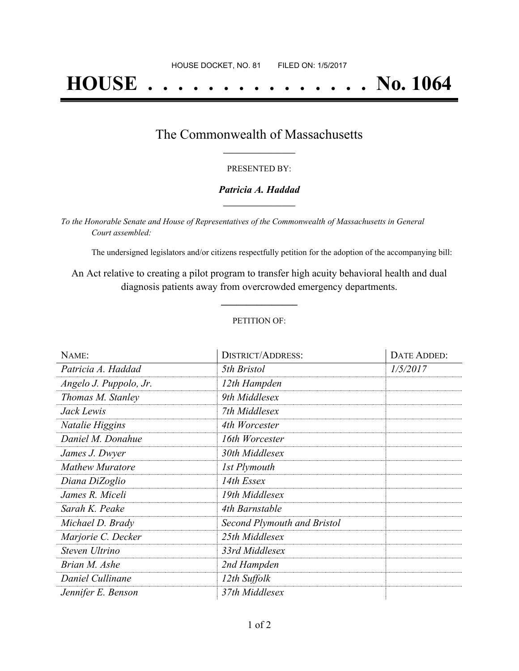# **HOUSE . . . . . . . . . . . . . . . No. 1064**

### The Commonwealth of Massachusetts **\_\_\_\_\_\_\_\_\_\_\_\_\_\_\_\_\_**

#### PRESENTED BY:

#### *Patricia A. Haddad* **\_\_\_\_\_\_\_\_\_\_\_\_\_\_\_\_\_**

*To the Honorable Senate and House of Representatives of the Commonwealth of Massachusetts in General Court assembled:*

The undersigned legislators and/or citizens respectfully petition for the adoption of the accompanying bill:

An Act relative to creating a pilot program to transfer high acuity behavioral health and dual diagnosis patients away from overcrowded emergency departments.

**\_\_\_\_\_\_\_\_\_\_\_\_\_\_\_**

#### PETITION OF:

| NAME:                  | <b>DISTRICT/ADDRESS:</b>    | DATE ADDED: |
|------------------------|-----------------------------|-------------|
| Patricia A. Haddad     | 5th Bristol                 | 1/5/2017    |
| Angelo J. Puppolo, Jr. | 12th Hampden                |             |
| Thomas M. Stanley      | 9th Middlesex               |             |
| Jack Lewis             | 7th Middlesex               |             |
| Natalie Higgins        | 4th Worcester               |             |
| Daniel M. Donahue      | 16th Worcester              |             |
| James J. Dwyer         | 30th Middlesex              |             |
| <b>Mathew Muratore</b> | 1st Plymouth                |             |
| Diana DiZoglio         | 14th Essex                  |             |
| James R. Miceli        | 19th Middlesex              |             |
| Sarah K. Peake         | 4th Barnstable              |             |
| Michael D. Brady       | Second Plymouth and Bristol |             |
| Marjorie C. Decker     | 25th Middlesex              |             |
| Steven Ultrino         | 33rd Middlesex              |             |
| Brian M. Ashe          | 2nd Hampden                 |             |
| Daniel Cullinane       | 12th Suffolk                |             |
| Jennifer E. Benson     | 37th Middlesex              |             |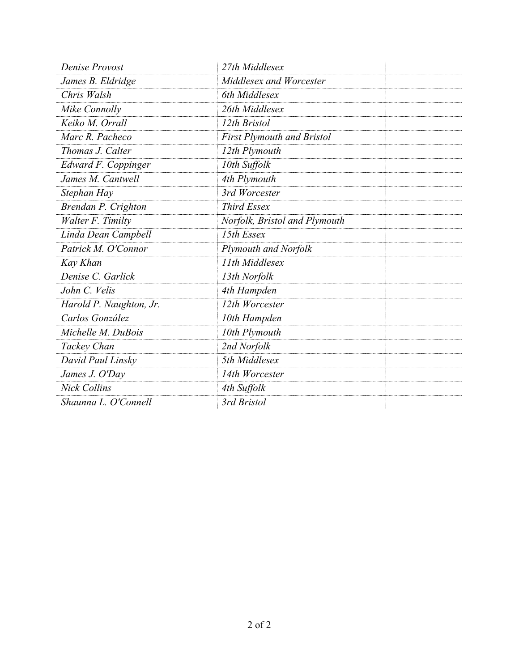| <b>Denise Provost</b>   | 27th Middlesex                |  |
|-------------------------|-------------------------------|--|
| James B. Eldridge       | Middlesex and Worcester       |  |
| Chris Walsh             | 6th Middlesex                 |  |
| Mike Connolly           | 26th Middlesex                |  |
| Keiko M. Orrall         | 12th Bristol                  |  |
| Marc R. Pacheco         | First Plymouth and Bristol    |  |
| Thomas J. Calter        | 12th Plymouth                 |  |
| Edward F. Coppinger     | 10th Suffolk                  |  |
| James M. Cantwell       | 4th Plymouth                  |  |
| Stephan Hay             | 3rd Worcester                 |  |
| Brendan P. Crighton     | <b>Third Essex</b>            |  |
| Walter F. Timilty       | Norfolk, Bristol and Plymouth |  |
| Linda Dean Campbell     | 15th Essex                    |  |
| Patrick M. O'Connor     | <b>Plymouth and Norfolk</b>   |  |
| Kay Khan                | 11th Middlesex                |  |
| Denise C. Garlick       | 13th Norfolk                  |  |
| John C. Velis           | 4th Hampden                   |  |
| Harold P. Naughton, Jr. | 12th Worcester                |  |
| Carlos González         | 10th Hampden                  |  |
| Michelle M. DuBois      | 10th Plymouth                 |  |
| Tackey Chan             | 2nd Norfolk                   |  |
| David Paul Linsky       | 5th Middlesex                 |  |
| James J. O'Day          | 14th Worcester                |  |
| <b>Nick Collins</b>     | 4th Suffolk                   |  |
| Shaunna L. O'Connell    | 3rd Bristol                   |  |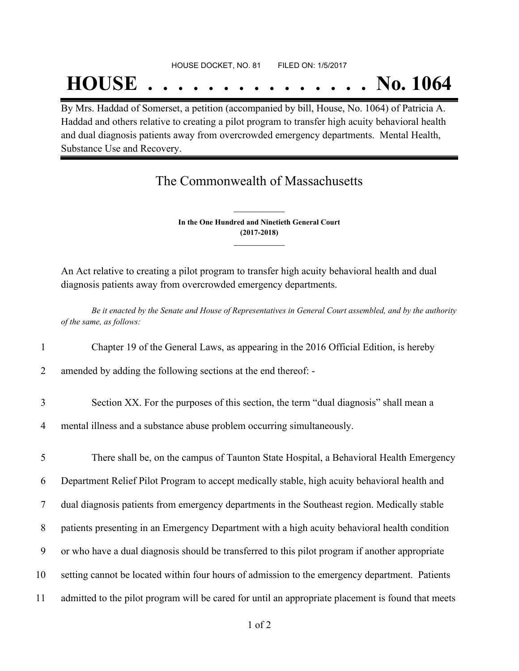## **HOUSE . . . . . . . . . . . . . . . No. 1064**

By Mrs. Haddad of Somerset, a petition (accompanied by bill, House, No. 1064) of Patricia A. Haddad and others relative to creating a pilot program to transfer high acuity behavioral health and dual diagnosis patients away from overcrowded emergency departments. Mental Health, Substance Use and Recovery.

## The Commonwealth of Massachusetts

**In the One Hundred and Ninetieth General Court (2017-2018) \_\_\_\_\_\_\_\_\_\_\_\_\_\_\_**

**\_\_\_\_\_\_\_\_\_\_\_\_\_\_\_**

An Act relative to creating a pilot program to transfer high acuity behavioral health and dual diagnosis patients away from overcrowded emergency departments.

Be it enacted by the Senate and House of Representatives in General Court assembled, and by the authority *of the same, as follows:*

- 1 Chapter 19 of the General Laws, as appearing in the 2016 Official Edition, is hereby
- 2 amended by adding the following sections at the end thereof: -
- 3 Section XX. For the purposes of this section, the term "dual diagnosis" shall mean a
- 4 mental illness and a substance abuse problem occurring simultaneously.

 There shall be, on the campus of Taunton State Hospital, a Behavioral Health Emergency Department Relief Pilot Program to accept medically stable, high acuity behavioral health and dual diagnosis patients from emergency departments in the Southeast region. Medically stable patients presenting in an Emergency Department with a high acuity behavioral health condition or who have a dual diagnosis should be transferred to this pilot program if another appropriate setting cannot be located within four hours of admission to the emergency department. Patients admitted to the pilot program will be cared for until an appropriate placement is found that meets